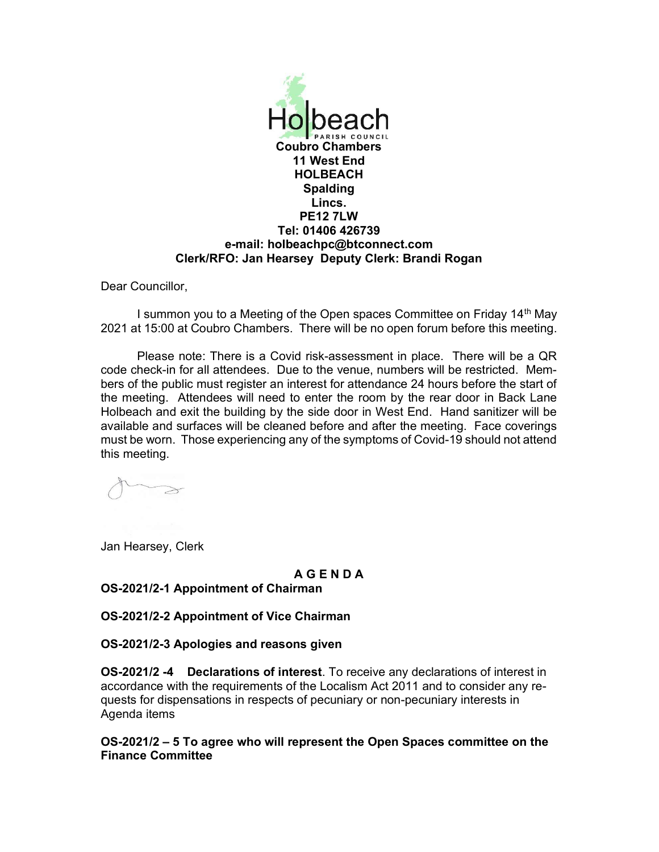

Dear Councillor,

I summon you to a Meeting of the Open spaces Committee on Friday 14th May 2021 at 15:00 at Coubro Chambers. There will be no open forum before this meeting.

Please note: There is a Covid risk-assessment in place. There will be a QR code check-in for all attendees. Due to the venue, numbers will be restricted. Members of the public must register an interest for attendance 24 hours before the start of the meeting. Attendees will need to enter the room by the rear door in Back Lane Holbeach and exit the building by the side door in West End. Hand sanitizer will be available and surfaces will be cleaned before and after the meeting. Face coverings must be worn. Those experiencing any of the symptoms of Covid-19 should not attend this meeting.

Jan Hearsey, Clerk

### A G E N D A

## OS-2021/2-1 Appointment of Chairman

OS-2021/2-2 Appointment of Vice Chairman

### OS-2021/2-3 Apologies and reasons given

OS-2021/2 -4 Declarations of interest. To receive any declarations of interest in accordance with the requirements of the Localism Act 2011 and to consider any requests for dispensations in respects of pecuniary or non-pecuniary interests in Agenda items

OS-2021/2 – 5 To agree who will represent the Open Spaces committee on the Finance Committee